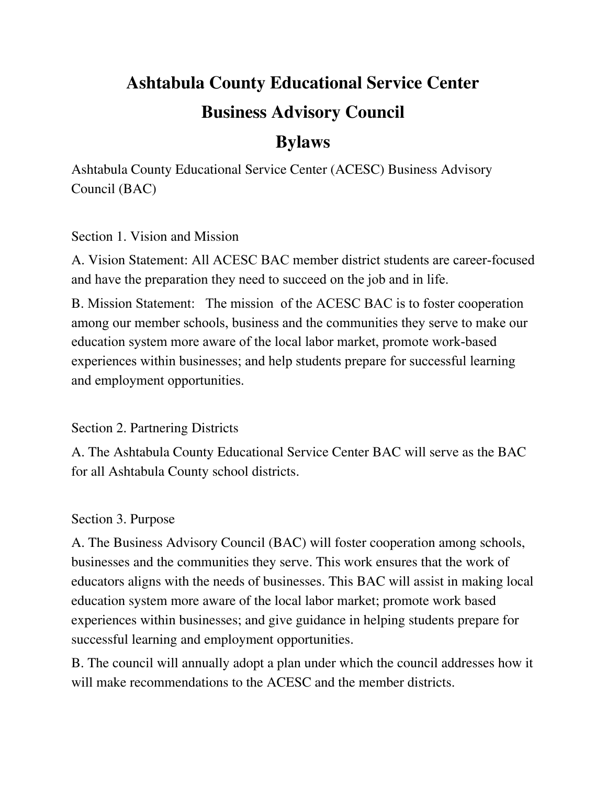# **Ashtabula County Educational Service Center Business Advisory Council**

# **Bylaws**

Ashtabula County Educational Service Center (ACESC) Business Advisory Council (BAC)

# Section 1. Vision and Mission

A. Vision Statement: All ACESC BAC member district students are career-focused and have the preparation they need to succeed on the job and in life.

B. Mission Statement: The mission of the ACESC BAC is to foster cooperation among our member schools, business and the communities they serve to make our education system more aware of the local labor market, promote work-based experiences within businesses; and help students prepare for successful learning and employment opportunities.

# Section 2. Partnering Districts

A. The Ashtabula County Educational Service Center BAC will serve as the BAC for all Ashtabula County school districts.

# Section 3. Purpose

A. The Business Advisory Council (BAC) will foster cooperation among schools, businesses and the communities they serve. This work ensures that the work of educators aligns with the needs of businesses. This BAC will assist in making local education system more aware of the local labor market; promote work based experiences within businesses; and give guidance in helping students prepare for successful learning and employment opportunities.

B. The council will annually adopt a plan under which the council addresses how it will make recommendations to the ACESC and the member districts.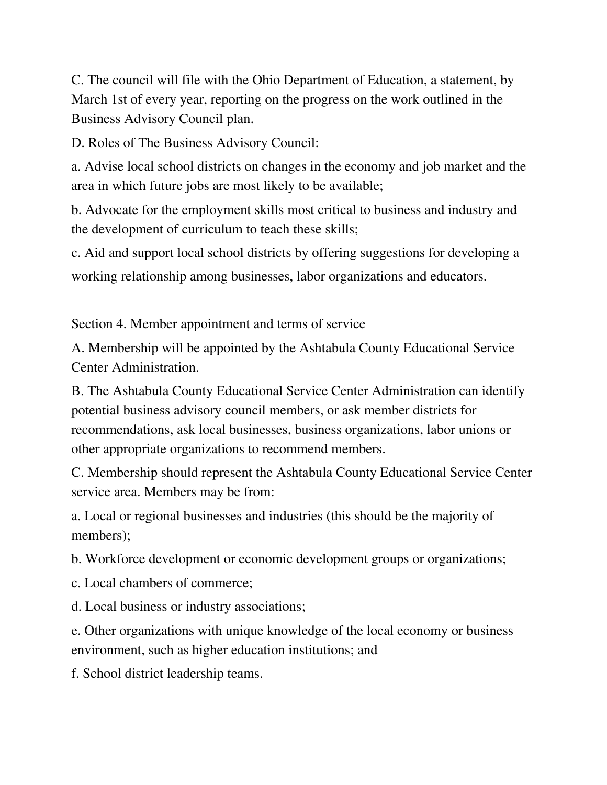C. The council will file with the Ohio Department of Education, a statement, by March 1st of every year, reporting on the progress on the work outlined in the Business Advisory Council plan.

D. Roles of The Business Advisory Council:

a. Advise local school districts on changes in the economy and job market and the area in which future jobs are most likely to be available;

b. Advocate for the employment skills most critical to business and industry and the development of curriculum to teach these skills;

c. Aid and support local school districts by offering suggestions for developing a working relationship among businesses, labor organizations and educators.

Section 4. Member appointment and terms of service

A. Membership will be appointed by the Ashtabula County Educational Service Center Administration.

B. The Ashtabula County Educational Service Center Administration can identify potential business advisory council members, or ask member districts for recommendations, ask local businesses, business organizations, labor unions or other appropriate organizations to recommend members.

C. Membership should represent the Ashtabula County Educational Service Center service area. Members may be from:

a. Local or regional businesses and industries (this should be the majority of members);

b. Workforce development or economic development groups or organizations;

c. Local chambers of commerce;

d. Local business or industry associations;

e. Other organizations with unique knowledge of the local economy or business environment, such as higher education institutions; and

f. School district leadership teams.